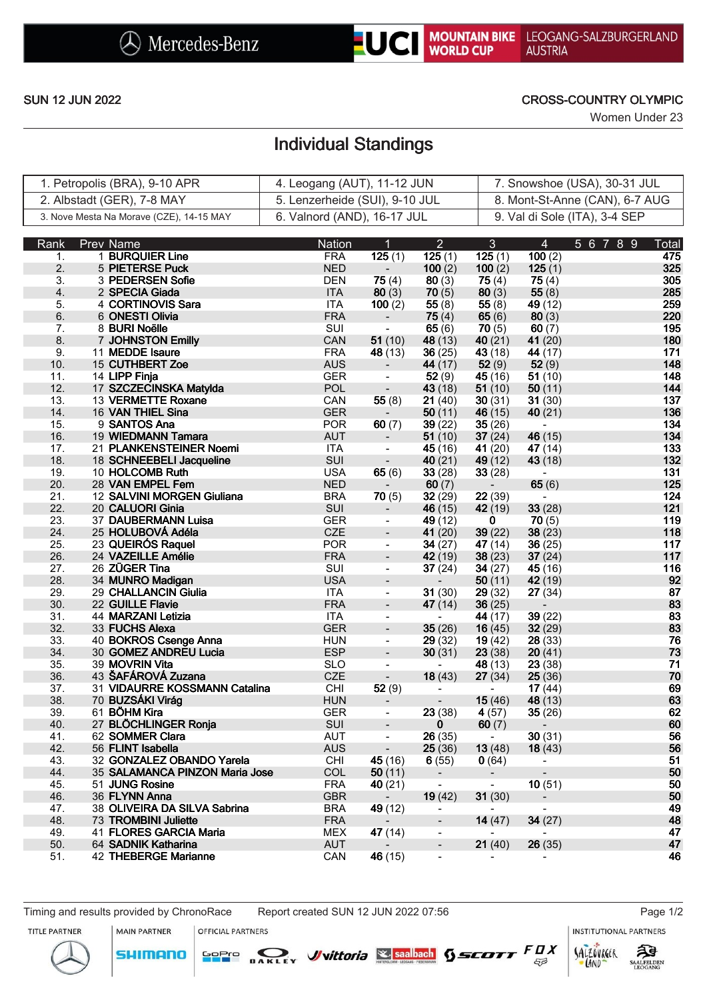

### SUN 12 JUN 2022 CROSS-COUNTRY OLYMPIC

Women Under 23

# Individual Standings

| 1. Petropolis (BRA), 9-10 APR            | 4. Leogang (AUT), 11-12 JUN    | 7. Snowshoe (USA), 30-31 JUL   |
|------------------------------------------|--------------------------------|--------------------------------|
| 2. Albstadt (GER), 7-8 MAY               | 5. Lenzerheide (SUI), 9-10 JUL | 8. Mont-St-Anne (CAN), 6-7 AUG |
| 3. Nove Mesta Na Morave (CZE), 14-15 MAY | 6. Valnord (AND), 16-17 JUL    | 9. Val di Sole (ITA), 3-4 SEP  |

| Rank | <b>Prev Name</b>               | Nation     | $\overline{1}$                                                                                                                                                                                                                                                                                                                                   | $\overline{2}$ | 3 <sup>1</sup>               | $\overline{4}$           | 5 6 7 8 9 | Total           |
|------|--------------------------------|------------|--------------------------------------------------------------------------------------------------------------------------------------------------------------------------------------------------------------------------------------------------------------------------------------------------------------------------------------------------|----------------|------------------------------|--------------------------|-----------|-----------------|
| 1.   | 1 BURQUIER Line                | <b>FRA</b> | $\overline{125}$ (1)                                                                                                                                                                                                                                                                                                                             | 125(1)         | 125(1)                       | 100(2)                   |           | 475             |
| 2.   | 5 PIETERSE Puck                | <b>NED</b> | $\frac{1}{2}$ , $\frac{1}{2}$                                                                                                                                                                                                                                                                                                                    | 100(2)         | 100(2)                       | 125 $(1)$                |           | 325             |
| 3.   | 3 PEDERSEN Sofie               | <b>DEN</b> | 75(4)                                                                                                                                                                                                                                                                                                                                            | 80(3)          | 75 $(4)$                     | 75(4)                    |           | 305             |
| 4.   | 2 SPECIA Giada                 | <b>ITA</b> | 80(3)                                                                                                                                                                                                                                                                                                                                            | 70(5)          | 80(3)                        | 55 $(8)$                 |           | 285             |
| 5.   | 4 CORTINOVIS Sara              | <b>ITA</b> | 100(2)                                                                                                                                                                                                                                                                                                                                           | 55(8)          | 55 $(8)$                     | 49(12)                   |           | 259             |
| 6.   | 6 ONESTI Olivia                | <b>FRA</b> | $\frac{1}{\sqrt{2}}$                                                                                                                                                                                                                                                                                                                             | 75(4)          | 65 $(6)$                     | 80(3)                    |           | 220             |
| 7.   | 8 BURI Noëlle                  | SUI        | $\sim$                                                                                                                                                                                                                                                                                                                                           | 65 $(6)$       | 70(5)                        | 60(7)                    |           | 195             |
| 8.   | 7 JOHNSTON Emilly              | CAN        | 51(10)                                                                                                                                                                                                                                                                                                                                           | 48 (13)        | 40(21)                       | 41(20)                   |           | 180             |
| 9.   | 11 MEDDE Isaure                | <b>FRA</b> | 48(13)                                                                                                                                                                                                                                                                                                                                           | 36(25)         | 43 (18)                      | 44 $(17)$                |           | 171             |
| 10.  | 15 CUTHBERT Zoe                | <b>AUS</b> | $\sim$                                                                                                                                                                                                                                                                                                                                           | 44 (17)        | 52(9)                        | 52(9)                    |           | 148             |
| 11.  | 14 LIPP Finja                  | <b>GER</b> | $\frac{1}{\sqrt{2}}$                                                                                                                                                                                                                                                                                                                             | 52(9)          | 45(16)                       | 51(10)                   |           | 148             |
| 12.  | 17 SZCZECINSKA Matylda         | <b>POL</b> | $\begin{picture}(20,20)(-2.5,0.0) \put(0,0){\line(1,0){10}} \put(10,0){\line(1,0){10}} \put(10,0){\line(1,0){10}} \put(10,0){\line(1,0){10}} \put(10,0){\line(1,0){10}} \put(10,0){\line(1,0){10}} \put(10,0){\line(1,0){10}} \put(10,0){\line(1,0){10}} \put(10,0){\line(1,0){10}} \put(10,0){\line(1,0){10}} \put(10,0){\line(1,0){10}} \put($ | 43(18)         | 51(10)                       | 50(11)                   |           | 144             |
| 13.  | 13 VERMETTE Roxane             | CAN        | 55(8)                                                                                                                                                                                                                                                                                                                                            | 21(40)         | 30(31)                       | 31(30)                   |           | 137             |
| 14.  | 16 VAN THIEL Sina              | <b>GER</b> | $\sim 10^7$                                                                                                                                                                                                                                                                                                                                      | 50(11)         | 46(15)                       | 40(21)                   |           | 136             |
| 15.  | 9 SANTOS Ana                   | <b>POR</b> | 60(7)                                                                                                                                                                                                                                                                                                                                            | 39(22)         | 35(26)                       | $\blacksquare$           |           | 134             |
| 16.  | 19 WIEDMANN Tamara             | AUT        | $\sim$                                                                                                                                                                                                                                                                                                                                           | 51(10)         | 37 $(24)$                    | 46 (15)                  |           | 134             |
| 17.  | 21 PLANKENSTEINER Noemi        | <b>ITA</b> | $\blacksquare$                                                                                                                                                                                                                                                                                                                                   | 45(16)         | 41 $(20)$                    | 47(14)                   |           | 133             |
| 18.  | 18 SCHNEEBELI Jacqueline       | SUI        | $\mathbb{Z}^{\mathbb{Z}}$                                                                                                                                                                                                                                                                                                                        | 40(21)         | 49(12)                       | 43 (18)                  |           | 132             |
| 19.  | 10 HOLCOMB Ruth                | <b>USA</b> | 65(6)                                                                                                                                                                                                                                                                                                                                            | 33(28)         | 33(28)                       | $\blacksquare$           |           | 131             |
| 20.  | 28 VAN EMPEL Fem               | <b>NED</b> | $\sim 10$                                                                                                                                                                                                                                                                                                                                        | 60(7)          | $\mathcal{L}_{\mathrm{max}}$ | 65(6)                    |           | 125             |
| 21.  | 12 SALVINI MORGEN Giuliana     | <b>BRA</b> | 70(5)                                                                                                                                                                                                                                                                                                                                            | 32(29)         | 22(39)                       | $\sim$                   |           | $124$           |
| 22.  | 20 CALUORI Ginia               | SUI        | $\sim$ $^{-1}$                                                                                                                                                                                                                                                                                                                                   | 46(15)         | 42(19)                       | 33(28)                   |           | 121             |
| 23.  | 37 DAUBERMANN Luisa            | <b>GER</b> | $\blacksquare$                                                                                                                                                                                                                                                                                                                                   | 49 (12)        | $\mathbf{0}$                 | 70(5)                    |           | 119             |
| 24.  | 25 HOLUBOVÁ Adéla              | <b>CZE</b> | $\Box$                                                                                                                                                                                                                                                                                                                                           | 41 $(20)$      | 39(22)                       | 38(23)                   |           | 118             |
| 25.  | 23 QUEIRÓS Raquel              | <b>POR</b> | $\blacksquare$                                                                                                                                                                                                                                                                                                                                   | 34(27)         | 47(14)                       | 36(25)                   |           | 117             |
| 26.  | 24 VAZEILLE Amélie             | <b>FRA</b> | $\Box$                                                                                                                                                                                                                                                                                                                                           | 42(19)         | 38(23)                       | 37(24)                   |           | 117             |
| 27.  | 26 ZÜGER Tina                  | SUI        | $\equiv$                                                                                                                                                                                                                                                                                                                                         | 37(24)         | 34(27)                       | 45(16)                   |           | 116             |
| 28.  | 34 MUNRO Madigan               | <b>USA</b> | $\Box$                                                                                                                                                                                                                                                                                                                                           | $\sim 100$     | 50(11)                       | 42 (19)                  |           | 92              |
| 29.  | 29 CHALLANCIN Giulia           | <b>ITA</b> | $\mathcal{L}_{\mathcal{A}}$                                                                                                                                                                                                                                                                                                                      | 31(30)         | 29(32)                       | 27(34)                   |           | ${\bf 87}$      |
| 30.  | 22 GUILLE Flavie               | <b>FRA</b> | $\Box$                                                                                                                                                                                                                                                                                                                                           | 47 $(14)$      | 36(25)                       | $\sim$                   |           |                 |
| 31.  | 44 MARZANI Letizia             | <b>ITA</b> | $\blacksquare$                                                                                                                                                                                                                                                                                                                                   | $\sim 100$     | 44 (17)                      | 39(22)                   |           | $\frac{83}{83}$ |
| 32.  | 33 FUCHS Alexa                 | <b>GER</b> | $\Box$                                                                                                                                                                                                                                                                                                                                           | 35(26)         | 16(45)                       | 32(29)                   |           |                 |
| 33.  | 40 BOKROS Csenge Anna          | <b>HUN</b> | $\omega$                                                                                                                                                                                                                                                                                                                                         | 29(32)         | 19(42)                       | 28(33)                   |           | 76              |
| 34.  | 30 GOMEZ ANDREU Lucia          | <b>ESP</b> | $\blacksquare$                                                                                                                                                                                                                                                                                                                                   | 30(31)         | 23(38)                       | 20(41)                   |           | 73              |
| 35.  | 39 MOVRIN Vita                 | <b>SLO</b> | $\blacksquare$                                                                                                                                                                                                                                                                                                                                   | $\sim 100$     | 48 (13)                      | 23(38)                   |           | 71              |
| 36.  | 43 ŠAFÁROVÁ Zuzana             | <b>CZE</b> | $\mathbb{Z}^2$                                                                                                                                                                                                                                                                                                                                   | 18(43)         | 27(34)                       | 25(36)                   |           | $70\,$          |
| 37.  | 31 VIDAURRE KOSSMANN Catalina  | <b>CHI</b> | 52(9)                                                                                                                                                                                                                                                                                                                                            | $\sim$         | $\sim 100$                   | 17 $(44)$                |           |                 |
| 38.  | 70 BUZSÁKI Virág               | <b>HUN</b> | $\sim$ .                                                                                                                                                                                                                                                                                                                                         | $\blacksquare$ | 15(46)                       | 48 (13)                  |           | 69<br>63<br>62  |
| 39.  | 61 BÖHM Kira                   | <b>GER</b> | $\blacksquare$                                                                                                                                                                                                                                                                                                                                   | 23(38)         | 4(57)                        | 35(26)                   |           |                 |
| 40.  | 27 BLÖCHLINGER Ronja           | <b>SUI</b> | $\blacksquare$                                                                                                                                                                                                                                                                                                                                   | $\overline{0}$ | 60(7)                        | $\overline{\phantom{a}}$ |           | 60<br>56        |
| 41.  | 62 SOMMER Clara                | <b>AUT</b> | $\blacksquare$                                                                                                                                                                                                                                                                                                                                   | 26(35)         | $\sim 100$ km s $^{-1}$      | 30(31)                   |           |                 |
| 42.  | 56 FLINT Isabella              | <b>AUS</b> | $\overline{\phantom{a}}$                                                                                                                                                                                                                                                                                                                         | 25(36)         | 13(48)                       | 18(43)                   |           | 56              |
| 43.  | 32 GONZALEZ OBANDO Yarela      | CHI        | 45(16)                                                                                                                                                                                                                                                                                                                                           | 6(55)          | 0(64)                        | $\blacksquare$           |           | 51              |
| 44.  | 35 SALAMANCA PINZON Maria Jose | COL        | 50(11)                                                                                                                                                                                                                                                                                                                                           | $\blacksquare$ | Ξ.                           |                          |           | 50              |
| 45.  | 51 JUNG Rosine                 | <b>FRA</b> | 40(21)                                                                                                                                                                                                                                                                                                                                           | $\blacksquare$ | $\overline{\phantom{a}}$     | 10(51)                   |           | 50              |
| 46.  | 36 FLYNN Anna                  | <b>GBR</b> |                                                                                                                                                                                                                                                                                                                                                  | 19(42)         | 31(30)                       | $\overline{\phantom{a}}$ |           | 50              |
| 47.  | 38 OLIVEIRA DA SILVA Sabrina   | <b>BRA</b> | 49(12)                                                                                                                                                                                                                                                                                                                                           | $\blacksquare$ |                              | $\frac{1}{2}$            |           | 49              |
| 48.  | 73 TROMBINI Juliette           | <b>FRA</b> |                                                                                                                                                                                                                                                                                                                                                  | $\blacksquare$ | 14(47)                       | 34(27)                   |           | 48              |
| 49.  | 41 FLORES GARCIA Maria         | <b>MEX</b> | 47(14)                                                                                                                                                                                                                                                                                                                                           | $\blacksquare$ | $\overline{\phantom{0}}$     | $\blacksquare$           |           | 47              |
| 50.  | 64 SADNIK Katharina            | <b>AUT</b> |                                                                                                                                                                                                                                                                                                                                                  | $\blacksquare$ | 21(40)                       | 26(35)                   |           | 47              |
| 51.  | 42 THEBERGE Marianne           | CAN        | 46(15)                                                                                                                                                                                                                                                                                                                                           | $\blacksquare$ |                              |                          |           | 46              |

SOPIO DAKLEY Vittoria & saabach SSCOTT FUX

Timing and results provided by ChronoRace Report created SUN 12 JUN 2022 07:56 Page 1/2

OFFICIAL PARTNERS

**INSTITUTIONAL PARTNERS** 

SALZOVRGER

LAND

 $53$ 



MAIN PARTNER

**SHIMANO** 

ट्रीडे

SAALFELDEN<br>LEOGANG